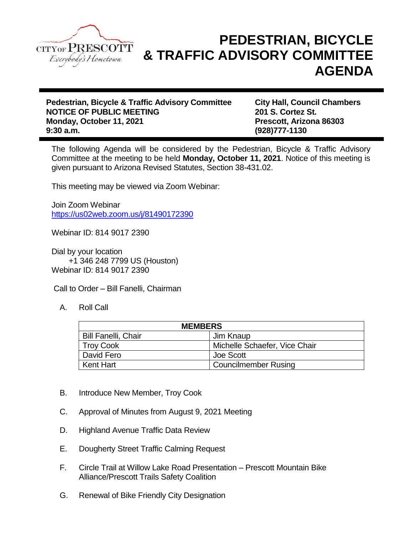

## **PEDESTRIAN, BICYCLE & TRAFFIC ADVISORY COMMITTEE AGENDA**

**Pedestrian, Bicycle & Traffic Advisory Committee City Hall, Council Chambers NOTICE OF PUBLIC MEETING 201 S. Cortez St. Monday, October 11, 2021 Prescott, Arizona 86303 9:30 a.m. (928)777-1130**

The following Agenda will be considered by the Pedestrian, Bicycle & Traffic Advisory Committee at the meeting to be held **Monday, October 11, 2021**. Notice of this meeting is given pursuant to Arizona Revised Statutes, Section 38-431.02.

This meeting may be viewed via Zoom Webinar:

Join Zoom Webinar <https://us02web.zoom.us/j/81490172390>

Webinar ID: 814 9017 2390

Dial by your location +1 346 248 7799 US (Houston) Webinar ID: 814 9017 2390

Call to Order – Bill Fanelli, Chairman

A. Roll Call

| <b>MEMBERS</b>             |                               |
|----------------------------|-------------------------------|
| <b>Bill Fanelli, Chair</b> | Jim Knaup                     |
| <b>Troy Cook</b>           | Michelle Schaefer, Vice Chair |
| David Fero                 | Joe Scott                     |
| <b>Kent Hart</b>           | <b>Councilmember Rusing</b>   |

- B. Introduce New Member, Troy Cook
- C. Approval of Minutes from August 9, 2021 Meeting
- D. Highland Avenue Traffic Data Review
- E. Dougherty Street Traffic Calming Request
- F. Circle Trail at Willow Lake Road Presentation Prescott Mountain Bike Alliance/Prescott Trails Safety Coalition
- G. Renewal of Bike Friendly City Designation